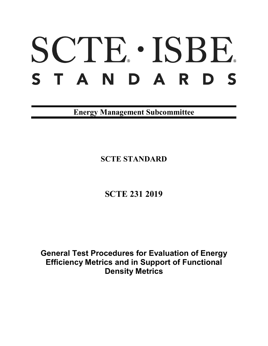# SCTE · ISBE. S T A N D A R D S

**Energy Management Subcommittee**

**SCTE STANDARD**

**SCTE 231 2019**

**General Test Procedures for Evaluation of Energy Efficiency Metrics and in Support of Functional Density Metrics**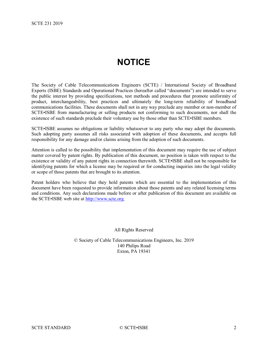# **NOTICE**

<span id="page-1-0"></span>The Society of Cable Telecommunications Engineers (SCTE) / International Society of Broadband Experts (ISBE) Standards and Operational Practices (hereafter called "documents") are intended to serve the public interest by providing specifications, test methods and procedures that promote uniformity of product, interchangeability, best practices and ultimately the long-term reliability of broadband communications facilities. These documents shall not in any way preclude any member or non-member of SCTE•ISBE from manufacturing or selling products not conforming to such documents, nor shall the existence of such standards preclude their voluntary use by those other than SCTE•ISBE members.

SCTE•ISBE assumes no obligations or liability whatsoever to any party who may adopt the documents. Such adopting party assumes all risks associated with adoption of these documents, and accepts full responsibility for any damage and/or claims arising from the adoption of such documents.

Attention is called to the possibility that implementation of this document may require the use of subject matter covered by patent rights. By publication of this document, no position is taken with respect to the existence or validity of any patent rights in connection therewith. SCTE•ISBE shall not be responsible for identifying patents for which a license may be required or for conducting inquiries into the legal validity or scope of those patents that are brought to its attention.

Patent holders who believe that they hold patents which are essential to the implementation of this document have been requested to provide information about those patents and any related licensing terms and conditions. Any such declarations made before or after publication of this document are available on the SCTE•ISBE web site at [http://www.scte.org.](http://www.scte.org/)

All Rights Reserved

© Society of Cable Telecommunications Engineers, Inc. 2019 140 Philips Road Exton, PA 19341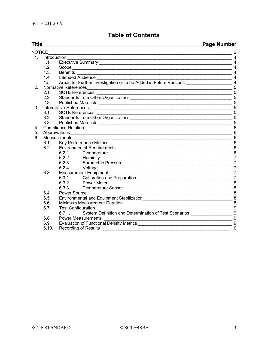# **Table of Contents**

**Title Page Number**

|                |                        |                                                                      | n ağun anından                                                   |  |  |
|----------------|------------------------|----------------------------------------------------------------------|------------------------------------------------------------------|--|--|
| <b>NOTICE</b>  |                        |                                                                      |                                                                  |  |  |
|                | 1. Introduction        |                                                                      | 4                                                                |  |  |
|                | 1.1.                   |                                                                      | $\overline{4}$                                                   |  |  |
|                | 1.2.                   | Scope                                                                | $\overline{4}$                                                   |  |  |
|                | 1.3.                   | <b>Benefits</b>                                                      | $\overline{4}$                                                   |  |  |
|                | 1.4.                   |                                                                      |                                                                  |  |  |
|                | 1.5.                   |                                                                      |                                                                  |  |  |
| 2.             | Normative References   |                                                                      |                                                                  |  |  |
|                | 2.1.                   | <b>SCTE References</b>                                               | $\overline{5}$                                                   |  |  |
|                | 2.2.                   |                                                                      | 5                                                                |  |  |
|                | 2.3.                   |                                                                      | 5<br>5                                                           |  |  |
| 3 <sub>1</sub> | Informative References |                                                                      |                                                                  |  |  |
|                | 3.1.                   | SCTE References ________                                             | 5                                                                |  |  |
|                |                        |                                                                      | 5                                                                |  |  |
|                | 3.3.                   |                                                                      | 5                                                                |  |  |
| 4.             |                        | $6\phantom{1}$<br>$6\phantom{1}$                                     |                                                                  |  |  |
| 5.             | Abbreviations          |                                                                      |                                                                  |  |  |
| 6.             |                        | Measurements                                                         | $6\phantom{1}6$                                                  |  |  |
|                | 6.1.                   |                                                                      | 6                                                                |  |  |
|                | 6.2.                   |                                                                      | $6\phantom{1}$                                                   |  |  |
|                |                        | 6.2.1.                                                               |                                                                  |  |  |
|                |                        | 6.2.2. Humidity                                                      | $\overline{7}$                                                   |  |  |
|                |                        | 6.2.3.<br>Barometric Pressure                                        | $\overline{7}$                                                   |  |  |
|                |                        | 6.2.4.<br>Voltage                                                    | $\overline{7}$                                                   |  |  |
|                | 6.3.                   | Measurement Equipment                                                | $\overline{7}$                                                   |  |  |
|                |                        | 6.3.1. Calibration and Preparation                                   | $\overline{7}$                                                   |  |  |
|                |                        |                                                                      |                                                                  |  |  |
|                |                        | 6.3.3.                                                               |                                                                  |  |  |
|                | 6.4.                   | Power Source                                                         |                                                                  |  |  |
|                | 6.5.                   |                                                                      |                                                                  |  |  |
|                | 6.6.                   |                                                                      | 8                                                                |  |  |
|                | 6.7.                   | Test Configuration ______________                                    | $\begin{array}{c c c c} \hline \rule{0pt}{16pt} & 9 \end{array}$ |  |  |
|                |                        | System Definition and Determination of Test Scenarios 2008<br>6.7.1. |                                                                  |  |  |
|                | 6.8.                   | <b>Power Measurements</b>                                            | 9                                                                |  |  |
|                | 6.9.                   | 9                                                                    |                                                                  |  |  |
|                | 6.10.                  | Recording of Results                                                 | 10                                                               |  |  |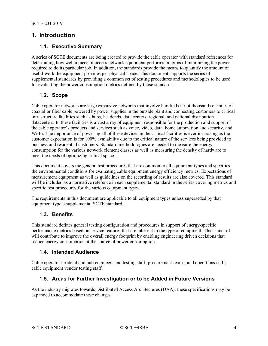# <span id="page-3-6"></span><span id="page-3-1"></span><span id="page-3-0"></span>**1. Introduction**

### **1.1. Executive Summary**

A series of SCTE documents are being created to provide the cable operator with standard references for determining how well a piece of access network equipment performs in terms of minimizing the power required to do its particular job. In addition, the standards provide the means to quantify the amount of useful work the equipment provides per physical space. This document supports the series of supplemental standards by providing a common set of testing procedures and methodologies to be used for evaluating the power consumption metrics defined by those standards.

#### <span id="page-3-2"></span>**1.2. Scope**

Cable operator networks are large expansive networks that involve hundreds if not thousands of miles of coaxial or fiber cable powered by power supplies in the outside plant and connecting customers to critical infrastructure facilities such as hubs, headends, data centers, regional, and national distribution datacenters. In these facilities is a vast array of equipment responsible for the production and support of the cable operator's products and services such as voice, video, data, home automation and security, and Wi-Fi. The importance of powering all of these devices in the critical facilities is ever increasing as the customer expectation is for 100% availability due to the critical nature of the services being provided to business and residential customers. Standard methodologies are needed to measure the energy consumption for the various network element classes as well as measuring the density of hardware to meet the needs of optimizing critical space.

This document covers the general test procedures that are common to all equipment types and specifies the environmental conditions for evaluating cable equipment energy efficiency metrics. Expectations of measurement equipment as well as guidelines on the recording of results are also covered. This standard will be included as a normative reference in each supplemental standard in the series covering metrics and specific test procedures for the various equipment types.

The requirements in this document are applicable to all equipment types unless superseded by that equipment type's supplemental SCTE standard.

# <span id="page-3-3"></span>**1.3. Benefits**

This standard defines general testing configuration and procedures in support of energy-specific performance metrics based on service features that are inherent to the type of equipment. This standard will contribute to improve the overall energy footprint by enabling engineering driven decisions that reduce energy consumption at the source of power consumption.

#### <span id="page-3-4"></span>**1.4. Intended Audience**

Cable operator headend and hub engineers and testing staff, procurement teams, and operations staff; cable equipment vendor testing staff.

#### <span id="page-3-5"></span>**1.5. Areas for Further Investigation or to be Added in Future Versions**

As the industry migrates towards Distributed Access Architectures (DAA), these specifications may be expanded to accommodate these changes.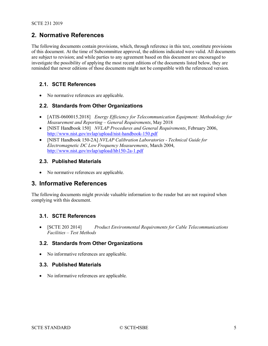# <span id="page-4-7"></span>**2. Normative References**

The following documents contain provisions, which, through reference in this text, constitute provisions of this document. At the time of Subcommittee approval, the editions indicated were valid. All documents are subject to revision; and while parties to any agreement based on this document are encouraged to investigate the possibility of applying the most recent editions of the documents listed below, they are reminded that newer editions of those documents might not be compatible with the referenced version.

### <span id="page-4-0"></span>**2.1. SCTE References**

<span id="page-4-1"></span>• No normative references are applicable.

#### **2.2. Standards from Other Organizations**

- [ATIS-0600015.2018] *Energy Efficiency for Telecommunication Equipment: Methodology for Measurement and Reporting – General Requirements*, May 2018
- [NIST Handbook 150] *NVLAP Procedures and General Requirements*, February 2006, <http://www.nist.gov/nvlap/upload/nist-handbook-150.pdf>
- [NIST Handbook 150-2A] *NVLAP Calibration Laboratories - Technical Guide for Electromagnetic DC Low Frequency Measurements*, March 2004, <http://www.nist.gov/nvlap/upload/hb150-2a-1.pdf>

# <span id="page-4-2"></span>**2.3. Published Materials**

• No normative references are applicable.

# <span id="page-4-3"></span>**3. Informative References**

The following documents might provide valuable information to the reader but are not required when complying with this document.

#### <span id="page-4-4"></span>**3.1. SCTE References**

• [SCTE 203 2014] *Product Environmental Requirements for Cable Telecommunications Facilities – Test Methods*

# <span id="page-4-5"></span>**3.2. Standards from Other Organizations**

<span id="page-4-6"></span>• No informative references are applicable.

#### **3.3. Published Materials**

• No informative references are applicable.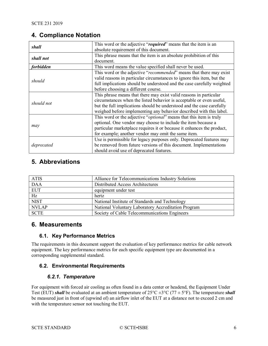# **4. Compliance Notation**

| shall            | This word or the adjective "required" means that the item is an        |  |
|------------------|------------------------------------------------------------------------|--|
|                  | absolute requirement of this document.                                 |  |
| shall not        | This phrase means that the item is an absolute prohibition of this     |  |
|                  | document.                                                              |  |
| <i>forbidden</i> | This word means the value specified shall never be used.               |  |
|                  | This word or the adjective "recommended" means that there may exist    |  |
| should           | valid reasons in particular circumstances to ignore this item, but the |  |
|                  | full implications should be understood and the case carefully weighted |  |
|                  | before choosing a different course.                                    |  |
|                  | This phrase means that there may exist valid reasons in particular     |  |
| should not       | circumstances when the listed behavior is acceptable or even useful,   |  |
|                  | but the full implications should be understood and the case carefully  |  |
|                  | weighed before implementing any behavior described with this label.    |  |
|                  | This word or the adjective "optional" means that this item is truly    |  |
|                  | optional. One vendor may choose to include the item because a          |  |
| may              | particular marketplace requires it or because it enhances the product, |  |
|                  | for example; another vendor may omit the same item.                    |  |
|                  | Use is permissible for legacy purposes only. Deprecated features may   |  |
| deprecated       | be removed from future versions of this document. Implementations      |  |
|                  | should avoid use of deprecated features.                               |  |

# <span id="page-5-0"></span>**5. Abbreviations**

| <b>ATIS</b>     | Alliance for Telecommunications Industry Solutions  |
|-----------------|-----------------------------------------------------|
| <b>DAA</b>      | Distributed Access Architectures                    |
| <b>EUT</b>      | equipment under test                                |
| $\overline{Hz}$ | hertz                                               |
| <b>NIST</b>     | National Institute of Standards and Technology      |
| <b>NVLAP</b>    | National Voluntary Laboratory Accreditation Program |
| <b>SCTE</b>     | Society of Cable Telecommunications Engineers       |

# <span id="page-5-2"></span><span id="page-5-1"></span>**6. Measurements**

# **6.1. Key Performance Metrics**

The requirements in this document support the evaluation of key performance metrics for cable network equipment. The key performance metrics for each specific equipment type are documented in a corresponding supplemental standard.

# <span id="page-5-4"></span><span id="page-5-3"></span>**6.2. Environmental Requirements**

# *6.2.1. Temperature*

For equipment with forced air cooling as often found in a data center or headend, the Equipment Under Test (EUT) *shall* be evaluated at an ambient temperature of  $25^{\circ}C \pm 3^{\circ}C$  (77  $\pm$  5°F). The temperature *shall* be measured just in front of (upwind of) an airflow inlet of the EUT at a distance not to exceed 2 cm and with the temperature sensor not touching the EUT.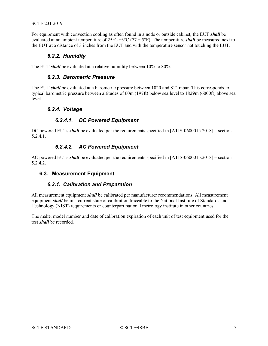#### SCTE 231 2019

<span id="page-6-0"></span>For equipment with convection cooling as often found in a node or outside cabinet, the EUT *shall* be evaluated at an ambient temperature of 25°C ±3°C (77 ± 5°F). The temperature *shall* be measured next to the EUT at a distance of 3 inches from the EUT and with the temperature sensor not touching the EUT.

#### *6.2.2. Humidity*

<span id="page-6-1"></span>The EUT *shall* be evaluated at a relative humidity between 10% to 80%.

#### *6.2.3. Barometric Pressure*

<span id="page-6-2"></span>The EUT *shall* be evaluated at a barometric pressure between 1020 and 812 mbar. This corresponds to typical barometric pressure between altitudes of 60m (197ft) below sea level to 1829m (6000ft) above sea level.

#### *6.2.4. Voltage*

#### *6.2.4.1. DC Powered Equipment*

DC powered EUTs *shall* be evaluated per the requirements specified in [ATIS-0600015.2018] – section 5.2.4.1.

#### *6.2.4.2. AC Powered Equipment*

AC powered EUTs *shall* be evaluated per the requirements specified in [ATIS-0600015.2018] – section 5.2.4.2.

#### <span id="page-6-4"></span><span id="page-6-3"></span>**6.3. Measurement Equipment**

#### *6.3.1. Calibration and Preparation*

All measurement equipment *shall* be calibrated per manufacturer recommendations. All measurement equipment *shall* be in a current state of calibration traceable to the National Institute of Standards and Technology (NIST) requirements or counterpart national metrology institute in other countries.

The make, model number and date of calibration expiration of each unit of test equipment used for the test *shall* be recorded.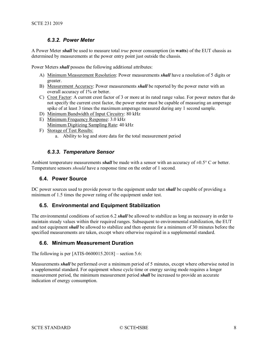# *6.3.2. Power Meter*

<span id="page-7-5"></span><span id="page-7-0"></span>A Power Meter *shall* be used to measure total *true* power consumption (in **watts**) of the EUT chassis as determined by measurements at the power entry point just outside the chassis.

Power Meters *shall* possess the following additional attributes:

- A) Minimum Measurement Resolution: Power measurements *shall* have a resolution of 5 digits or greater.
- B) Measurement Accuracy: Power measurements *shall* be reported by the power meter with an overall accuracy of 1% or better.
- C) Crest Factor: A current crest factor of 3 or more at its rated range value. For power meters that do not specify the current crest factor, the power meter must be capable of measuring an amperage spike of at least 3 times the maximum amperage measured during any 1 second sample.
- D) Minimum Bandwidth of Input Circuitry: 80 kHz
- E) Minimum Frequency Response: 3.0 kHz Minimum Digitizing Sampling Rate: 40 kHz
- F) Storage of Test Results:
	- a. Ability to log and store data for the total measurement period

#### *6.3.3. Temperature Sensor*

<span id="page-7-2"></span><span id="page-7-1"></span>Ambient temperature measurements *shall* be made with a sensor with an accuracy of  $\pm 0.5^{\circ}$  C or better. Temperature sensors *should* have a response time on the order of 1 second.

#### **6.4. Power Source**

<span id="page-7-3"></span>DC power sources used to provide power to the equipment under test *shall* be capable of providing a minimum of 1.5 times the power rating of the equipment under test.

# **6.5. Environmental and Equipment Stabilization**

The environmental conditions of section [6.2](#page-5-3) *shall* be allowed to stabilize as long as necessary in order to maintain steady values within their required ranges. Subsequent to environmental stabilization, the EUT and test equipment *shall* be allowed to stabilize and then operate for a minimum of 30 minutes before the specified measurements are taken, except where otherwise required in a supplemental standard.

# <span id="page-7-4"></span>**6.6. Minimum Measurement Duration**

The following is per  $[ATIS-0600015.2018]$  – section 5.6:

Measurements *shall* be performed over a minimum period of 5 minutes, except where otherwise noted in a supplemental standard. For equipment whose cycle time or energy saving mode requires a longer measurement period, the minimum measurement period *shall* be increased to provide an accurate indication of energy consumption.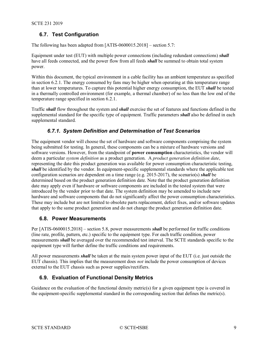# <span id="page-8-3"></span>**6.7. Test Configuration**

The following has been adapted from [ATIS-0600015.2018] – section 5.7:

Equipment under test (EUT) with multiple power connections (including redundant connections) *shall* have all feeds connected, and the power flow from all feeds *shall* be summed to obtain total system power.

Within this document, the typical environment in a cable facility has an ambient temperature as specified in section [6.2.1.](#page-5-4) The energy consumed by fans may be higher when operating at this temperature range than at lower temperatures. To capture this potential higher energy consumption, the EUT *shall* be tested in a thermally controlled environment (for example, a thermal chamber) of no less than the low end of the temperature range specified in section [6.2.1.](#page-5-4)

<span id="page-8-0"></span>Traffic *shall* flow throughout the system and *shall* exercise the set of features and functions defined in the supplemental standard for the specific type of equipment. Traffic parameters *shall* also be defined in each supplemental standard.

# *6.7.1. System Definition and Determination of Test Scenarios*

The equipment vendor will choose the set of hardware and software components comprising the system being submitted for testing. In general, these components can be a mixture of hardware versions and software versions. However, from the standpoint of **power consumption** characteristics, the vendor will deem a particular *system definition* as a product generation. A *product generation definition date*, representing the date this product generation was available for power consumption characteristic testing, *shall* be identified by the vendor. In equipment-specific supplemental standards where the applicable test configuration scenarios are dependent on a time range (e.g. 2015-2017), the scenario(s) *shall* be determined based on the product generation definition date. Note that the product generation definition date may apply even if hardware or software components are included in the tested system that were introduced by the vendor prior to that date. The system definition may be amended to include new hardware and software components that do not significantly affect the power consumption characteristics. These may include but are not limited to obsolete parts replacement, defect fixes, and/or software updates that apply to the same product generation and do not change the product generation definition date.

#### <span id="page-8-1"></span>**6.8. Power Measurements**

Per [ATIS-0600015.2018] – section 5.8, power measurements *shall* be performed for traffic conditions (line rate, profile, pattern, etc.) specific to the equipment type. For each traffic condition, power measurements *shall* be averaged over the recommended test interval. The SCTE standards specific to the equipment type will further define the traffic conditions and requirements.

All power measurements *shall* be taken at the main system power input of the EUT (i.e. just outside the EUT chassis). This implies that the measurement does *not* include the power consumption of devices external to the EUT chassis such as power supplies/rectifiers.

# <span id="page-8-2"></span>**6.9. Evaluation of Functional Density Metrics**

Guidance on the evaluation of the functional density metric(s) for a given equipment type is covered in the equipment-specific supplemental standard in the corresponding section that defines the metric(s).